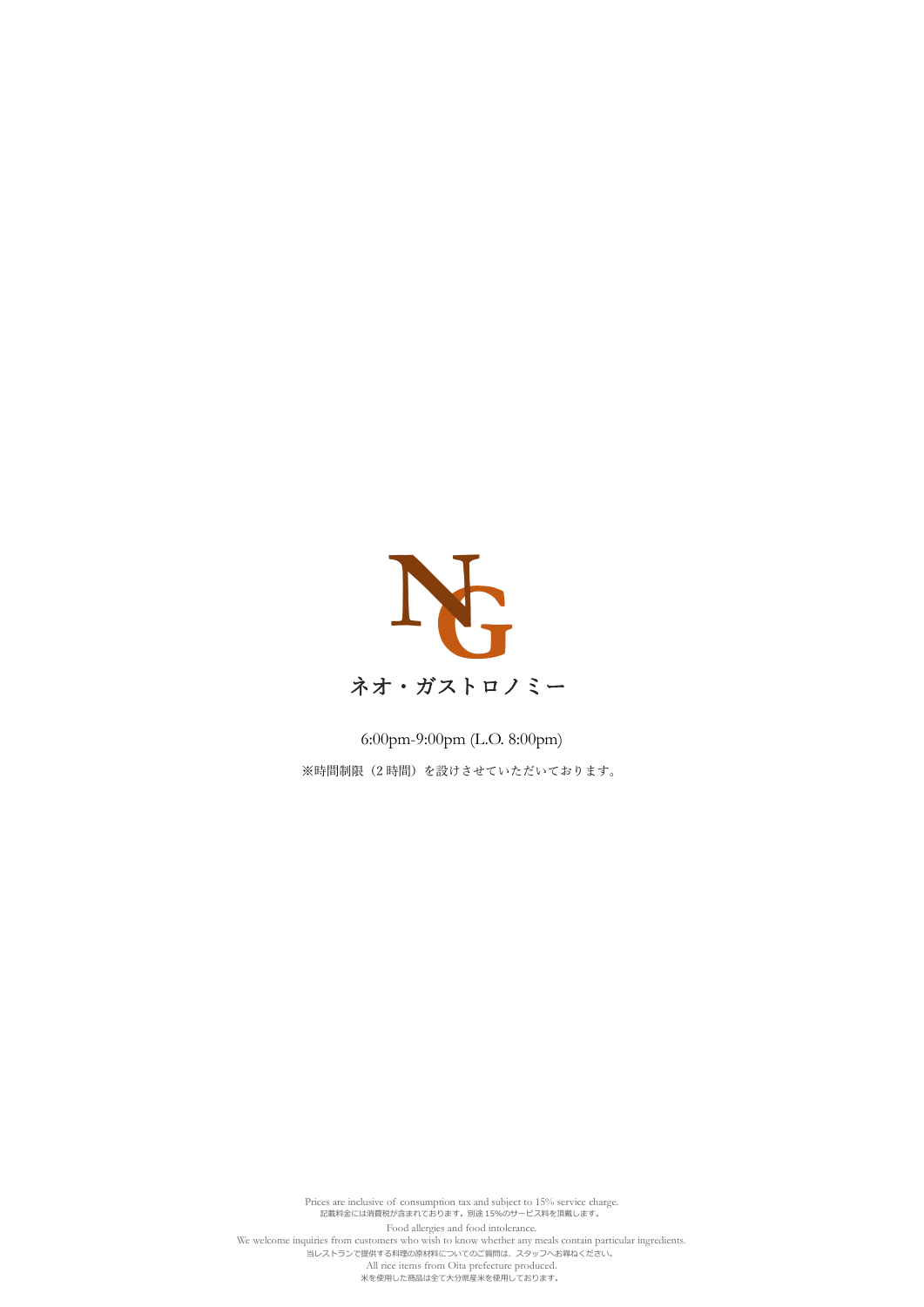

6:00pm-9:00pm (L.O. 8:00pm) ※時間制限(2時間)を設けさせていただいております。

Prices are inclusive of consumption tax and subject to 15% service charge. 記載料金には消費税が含まれております。別途 15%のサービス料を頂戴します。 Food allergies and food intolerance. We welcome inquiries from customers who wish to know whether any meals contain particular ingredients. 。<br>「当レストランで提供する料理の原材料についてのご質問は、スタッフへお尋ねください。 All rice items from Oita prefecture produced. 米を使用した商品は全て大分県産米を使用しております。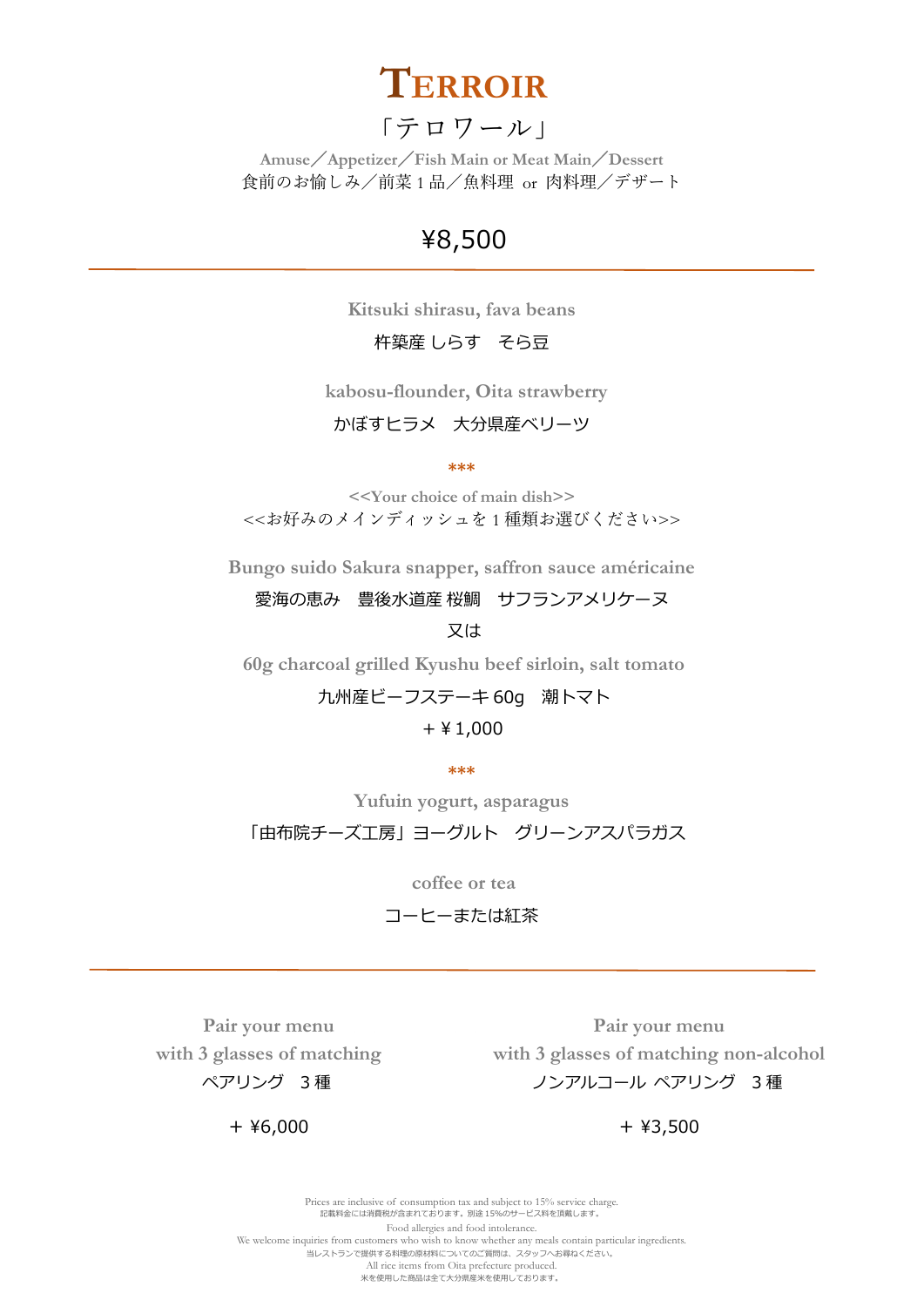

### 「テロワール」

**Amuse**/**Appetizer**/**Fish Main or Meat Main**/**Dessert** 食前のお愉しみ/前菜 1 品/魚料理 or 肉料理/デザート

## ¥8,500

**Kitsuki shirasu, fava beans**

杵築産 しらす そら豆

**kabosu-flounder, Oita strawberry**

かぼすヒラメ 大分県産ベリーツ

**\*\*\***

**<<Your choice of main dish>>** <<お好みのメインディッシュを 1 種類お選びください>>

**Bungo suido Sakura snapper, saffron sauce américaine**

愛海の恵み 豊後水道産 桜鯛 サフランアメリケーヌ 又は

**60g charcoal grilled Kyushu beef sirloin, salt tomato**

### 九州産ビーフステーキ 60g 潮トマト

#### +¥1,000

**\*\*\***

**Yufuin yogurt, asparagus**

「由布院チーズ工房」ヨーグルト グリーンアスパラガス

**coffee or tea**

コーヒーまたは紅茶

**Pair your menu with 3 glasses of matching** ペアリング 3 種

**Pair your menu with 3 glasses of matching non-alcohol** ノンアルコール ペアリング 3 種

+ ¥3,500

Prices are inclusive of consumption tax and subject to 15% service charge. 記載料金には消費税が含まれております。別途 15%のサービス料を頂戴します。 Food allergies and food intolerance. We welcome inquiries from customers who wish to know whether any meals contain particular ingredients. 当レストランで提供する料理の原材料についてのご質問は、スタッフへお尋ねください。 All rice items from Oita prefecture produced. 米を使用した商品は全て大分県産米を使用しております。

+ ¥6,000